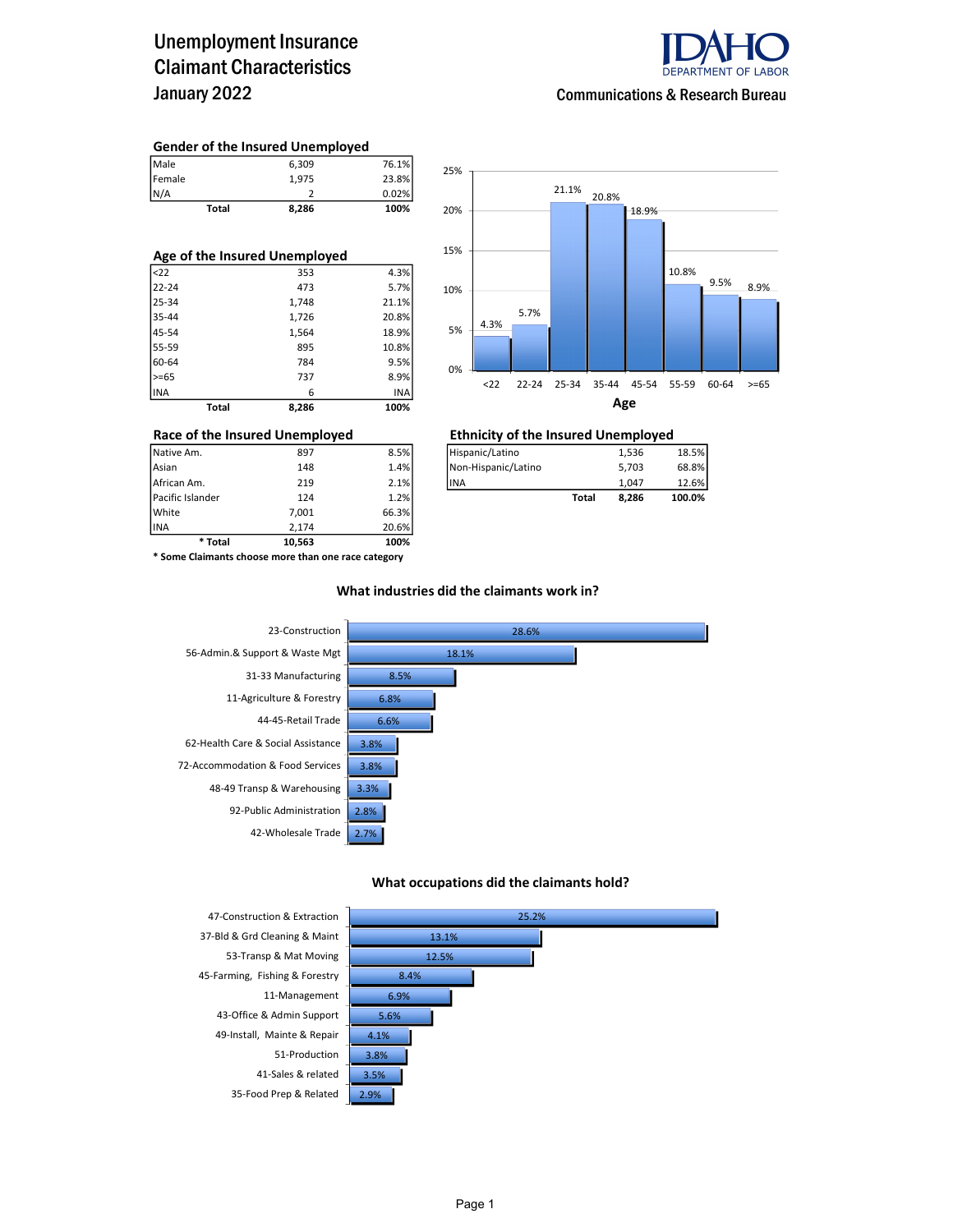### Unemployment Insurance Claimant Characteristics January 2022



#### Communications & Research Bureau

#### Gender of the Insured Unemployed

| Total  | 8,286 | 100%  |
|--------|-------|-------|
| N/A    |       | 0.02% |
| Female | 1.975 | 23.8% |
| Male   | 6.309 | 76.1% |

| Age of the Insured Unemployed |       |       |       |  |  |  |  |  |
|-------------------------------|-------|-------|-------|--|--|--|--|--|
| $ $ <22                       |       | 353   | 4.3%  |  |  |  |  |  |
| $22 - 24$                     |       | 473   | 5.7%  |  |  |  |  |  |
| 25-34                         |       | 1,748 | 21.1% |  |  |  |  |  |
| 35-44                         |       | 1,726 | 20.8% |  |  |  |  |  |
| 45-54                         |       | 1,564 | 18.9% |  |  |  |  |  |
| 55-59                         |       | 895   | 10.8% |  |  |  |  |  |
| 60-64                         |       | 784   | 9.5%  |  |  |  |  |  |
| $>= 65$                       |       | 737   | 8.9%  |  |  |  |  |  |
| INA                           |       | 6     | INA   |  |  |  |  |  |
|                               | Total | 8.286 | 100%  |  |  |  |  |  |



### Race of the Insured Unemployed<br>
Native Am. 297 8.5%<br>
Hispanic/Latino 1,536 1,536

| Native Am.       | 897 | 8.5% | Hispanic/Latino      |       | 1.536 | 18.5%  |
|------------------|-----|------|----------------------|-------|-------|--------|
| Asian            | 148 | 1.4% | INon-Hispanic/Latino |       | 5.703 | 68.8%  |
| African Am.      | 219 | 2.1% | <b>IINA</b>          |       | 1.047 | 12.6%  |
| Pacific Islander | 124 | 1.2% |                      | Total | 8.286 | 100.0% |
|                  |     |      |                      |       |       |        |

INA 2,174 20.6% \* Some Claimants choose more than one race category

\* Total 10,563 100%

Pacific Islander 124 1.2% White 7,001 66.3%

#### What industries did the claimants work in?



#### What occupations did the claimants hold?



37-Bld & Grd Cleaning & Maint 53-Transp & Mat Moving 45-Farming, Fishing & Forestry 8.4% 11-Management 6.9% 43-Office & Admin Support 5.6% 49-Install, Mainte & Repair 4.1% 51-Production 3.8% 41-Sales & related 35-Food Prep & Related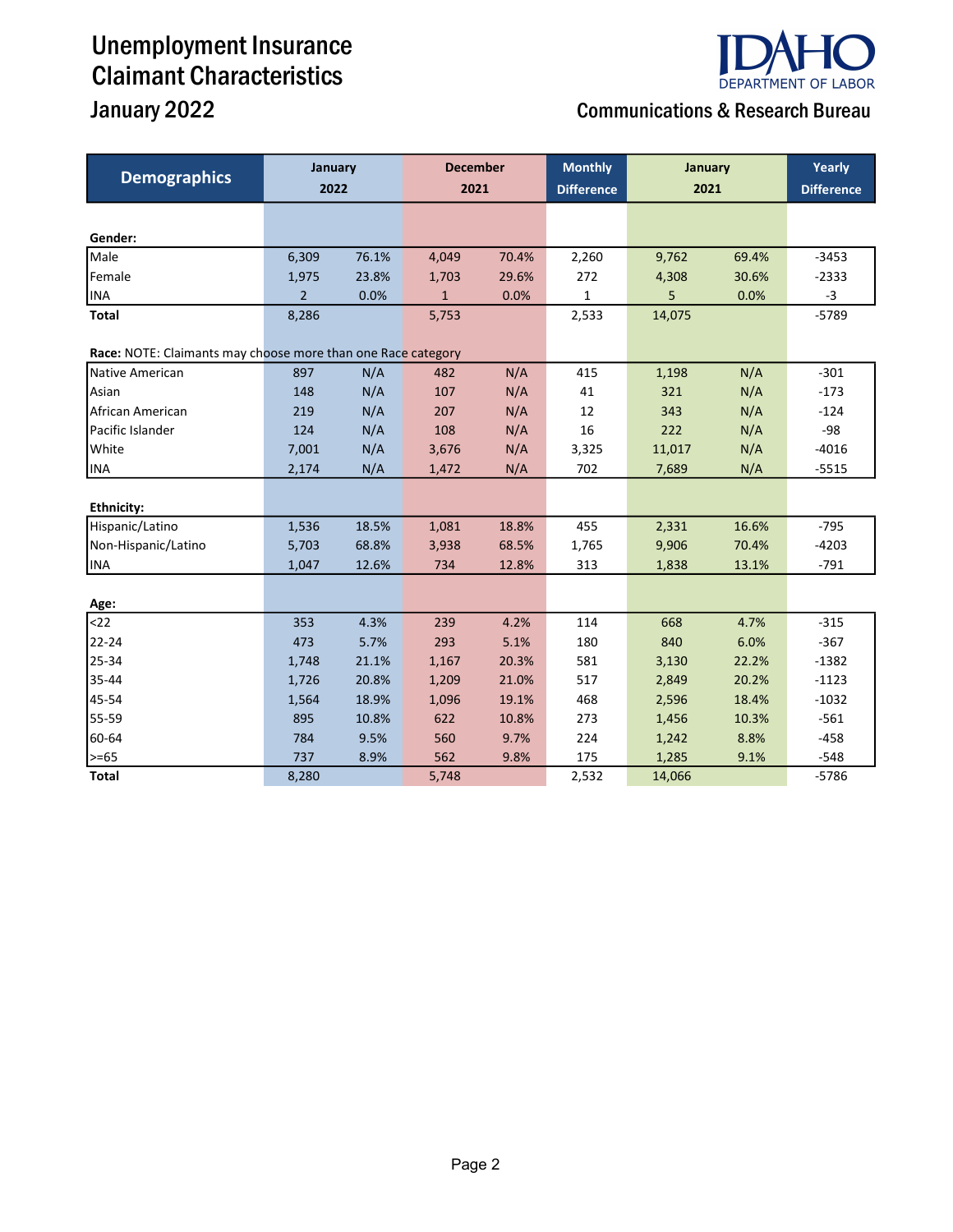# Unemployment Insurance Claimant Characteristics



## January 2022 Communications & Research Bureau

| <b>Demographics</b>                                          | January<br>2022 |       | <b>December</b><br>2021 |       | <b>Monthly</b><br><b>Difference</b> | January<br>2021 |       | Yearly<br><b>Difference</b> |
|--------------------------------------------------------------|-----------------|-------|-------------------------|-------|-------------------------------------|-----------------|-------|-----------------------------|
|                                                              |                 |       |                         |       |                                     |                 |       |                             |
| Gender:                                                      |                 |       |                         |       |                                     |                 |       |                             |
| Male                                                         | 6,309           | 76.1% | 4,049                   | 70.4% | 2,260                               | 9,762           | 69.4% | $-3453$                     |
| Female                                                       | 1,975           | 23.8% | 1,703                   | 29.6% | 272                                 | 4,308           | 30.6% | $-2333$                     |
| <b>INA</b>                                                   | $\overline{2}$  | 0.0%  | $\mathbf{1}$            | 0.0%  | $\mathbf 1$                         | 5               | 0.0%  | $-3$                        |
| <b>Total</b>                                                 | 8,286           |       | 5,753                   |       | 2,533                               | 14,075          |       | $-5789$                     |
| Race: NOTE: Claimants may choose more than one Race category |                 |       |                         |       |                                     |                 |       |                             |
| Native American                                              | 897             | N/A   | 482                     | N/A   | 415                                 | 1,198           | N/A   | $-301$                      |
| Asian                                                        | 148             | N/A   | 107                     | N/A   | 41                                  | 321             | N/A   | $-173$                      |
| African American                                             | 219             | N/A   | 207                     | N/A   | 12                                  | 343             | N/A   | $-124$                      |
| Pacific Islander                                             | 124             | N/A   | 108                     | N/A   | 16                                  | 222             | N/A   | $-98$                       |
| White                                                        | 7,001           | N/A   | 3,676                   | N/A   | 3,325                               | 11,017          | N/A   | $-4016$                     |
| <b>INA</b>                                                   | 2,174           | N/A   | 1,472                   | N/A   | 702                                 | 7,689           | N/A   | $-5515$                     |
|                                                              |                 |       |                         |       |                                     |                 |       |                             |
| <b>Ethnicity:</b>                                            |                 |       |                         |       |                                     |                 |       |                             |
| Hispanic/Latino                                              | 1,536           | 18.5% | 1,081                   | 18.8% | 455                                 | 2,331           | 16.6% | $-795$                      |
| Non-Hispanic/Latino                                          | 5,703           | 68.8% | 3,938                   | 68.5% | 1,765                               | 9,906           | 70.4% | $-4203$                     |
| INA                                                          | 1,047           | 12.6% | 734                     | 12.8% | 313                                 | 1,838           | 13.1% | $-791$                      |
|                                                              |                 |       |                         |       |                                     |                 |       |                             |
| Age:<br>$22$                                                 | 353             | 4.3%  | 239                     | 4.2%  | 114                                 | 668             | 4.7%  | $-315$                      |
| 22-24                                                        | 473             | 5.7%  | 293                     | 5.1%  | 180                                 | 840             | 6.0%  | $-367$                      |
| 25-34                                                        | 1,748           | 21.1% | 1,167                   | 20.3% | 581                                 | 3,130           | 22.2% | $-1382$                     |
| 35-44                                                        | 1,726           | 20.8% | 1,209                   | 21.0% | 517                                 | 2,849           | 20.2% | $-1123$                     |
| 45-54                                                        | 1,564           | 18.9% | 1,096                   | 19.1% | 468                                 | 2,596           | 18.4% | $-1032$                     |
| 55-59                                                        | 895             | 10.8% | 622                     | 10.8% | 273                                 | 1,456           | 10.3% | $-561$                      |
| 60-64                                                        | 784             | 9.5%  | 560                     | 9.7%  | 224                                 | 1,242           | 8.8%  | $-458$                      |
| $\geq -65$                                                   | 737             | 8.9%  | 562                     | 9.8%  | 175                                 | 1,285           | 9.1%  | $-548$                      |
| <b>Total</b>                                                 | 8,280           |       | 5,748                   |       | 2,532                               | 14,066          |       | $-5786$                     |